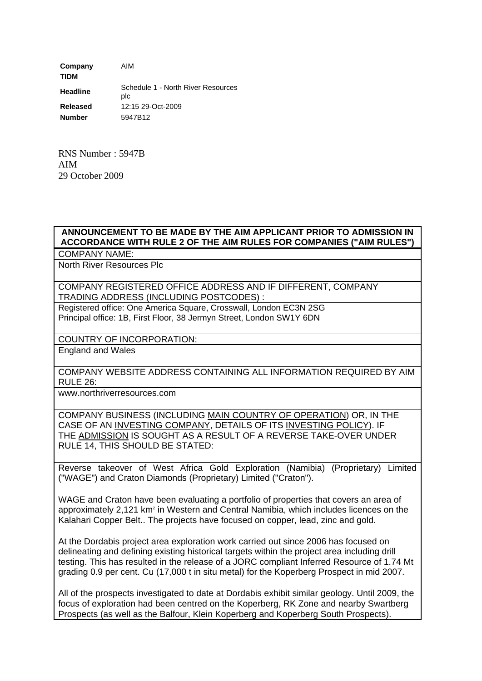**Company** AIM **TIDM Headline** Schedule 1 - North River Resources plc **Released** 12:15 29-Oct-2009 **Number** 5947B12

RNS Number : 5947B AIM 29 October 2009

## **ANNOUNCEMENT TO BE MADE BY THE AIM APPLICANT PRIOR TO ADMISSION IN ACCORDANCE WITH RULE 2 OF THE AIM RULES FOR COMPANIES ("AIM RULES")**

COMPANY NAME:

North River Resources Plc

COMPANY REGISTERED OFFICE ADDRESS AND IF DIFFERENT, COMPANY TRADING ADDRESS (INCLUDING POSTCODES) :

Registered office: One America Square, Crosswall, London EC3N 2SG Principal office: 1B, First Floor, 38 Jermyn Street, London SW1Y 6DN

COUNTRY OF INCORPORATION:

England and Wales

COMPANY WEBSITE ADDRESS CONTAINING ALL INFORMATION REQUIRED BY AIM RULE 26:

www.northriverresources.com

COMPANY BUSINESS (INCLUDING MAIN COUNTRY OF OPERATION) OR, IN THE CASE OF AN INVESTING COMPANY, DETAILS OF ITS INVESTING POLICY). IF THE ADMISSION IS SOUGHT AS A RESULT OF A REVERSE TAKE-OVER UNDER RULE 14, THIS SHOULD BE STATED:

Reverse takeover of West Africa Gold Exploration (Namibia) (Proprietary) Limited ("WAGE") and Craton Diamonds (Proprietary) Limited ("Craton").

WAGE and Craton have been evaluating a portfolio of properties that covers an area of approximately 2,121 km<sup>2</sup> in Western and Central Namibia, which includes licences on the Kalahari Copper Belt.. The projects have focused on copper, lead, zinc and gold.

At the Dordabis project area exploration work carried out since 2006 has focused on delineating and defining existing historical targets within the project area including drill testing. This has resulted in the release of a JORC compliant Inferred Resource of 1.74 Mt grading 0.9 per cent. Cu (17,000 t in situ metal) for the Koperberg Prospect in mid 2007.

All of the prospects investigated to date at Dordabis exhibit similar geology. Until 2009, the focus of exploration had been centred on the Koperberg, RK Zone and nearby Swartberg Prospects (as well as the Balfour, Klein Koperberg and Koperberg South Prospects).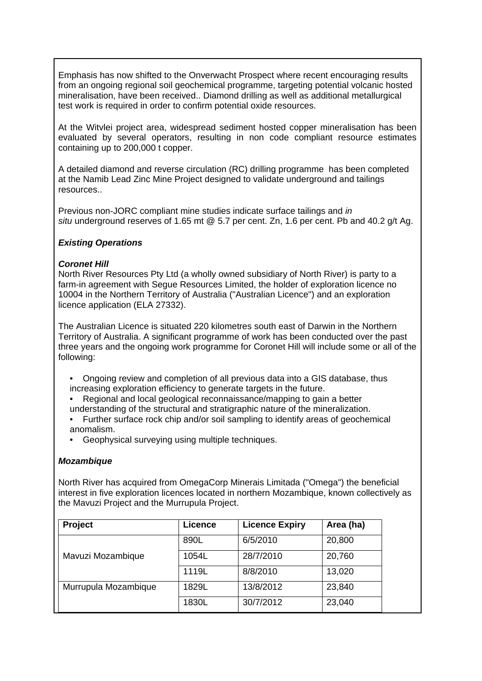Emphasis has now shifted to the Onverwacht Prospect where recent encouraging results from an ongoing regional soil geochemical programme, targeting potential volcanic hosted mineralisation, have been received.. Diamond drilling as well as additional metallurgical test work is required in order to confirm potential oxide resources.

At the Witvlei project area, widespread sediment hosted copper mineralisation has been evaluated by several operators, resulting in non code compliant resource estimates containing up to 200,000 t copper.

A detailed diamond and reverse circulation (RC) drilling programme has been completed at the Namib Lead Zinc Mine Project designed to validate underground and tailings resources..

Previous non-JORC compliant mine studies indicate surface tailings and *in situ* underground reserves of 1.65 mt @ 5.7 per cent. Zn, 1.6 per cent. Pb and 40.2 g/t Ag.

## *Existing Operations*

## *Coronet Hill*

North River Resources Pty Ltd (a wholly owned subsidiary of North River) is party to a farm-in agreement with Segue Resources Limited, the holder of exploration licence no 10004 in the Northern Territory of Australia ("Australian Licence") and an exploration licence application (ELA 27332).

The Australian Licence is situated 220 kilometres south east of Darwin in the Northern Territory of Australia. A significant programme of work has been conducted over the past three years and the ongoing work programme for Coronet Hill will include some or all of the following:

- Ongoing review and completion of all previous data into a GIS database, thus increasing exploration efficiency to generate targets in the future.
- Regional and local geological reconnaissance/mapping to gain a better understanding of the structural and stratigraphic nature of the mineralization.
- Further surface rock chip and/or soil sampling to identify areas of geochemical anomalism.
- Geophysical surveying using multiple techniques.

## *Mozambique*

North River has acquired from OmegaCorp Minerais Limitada ("Omega") the beneficial interest in five exploration licences located in northern Mozambique, known collectively as the Mavuzi Project and the Murrupula Project.

| Project              | Licence | <b>Licence Expiry</b> | Area (ha) |
|----------------------|---------|-----------------------|-----------|
| Mavuzi Mozambique    | 890L    | 6/5/2010              | 20,800    |
|                      | 1054L   | 28/7/2010             | 20,760    |
|                      | 1119L   | 8/8/2010              | 13,020    |
| Murrupula Mozambique | 1829L   | 13/8/2012             | 23,840    |
|                      | 1830L   | 30/7/2012             | 23,040    |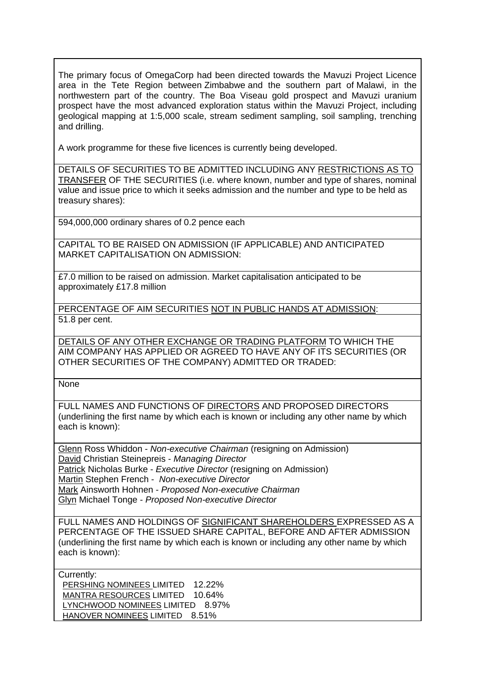The primary focus of OmegaCorp had been directed towards the Mavuzi Project Licence area in the Tete Region between Zimbabwe and the southern part of Malawi, in the northwestern part of the country. The Boa Viseau gold prospect and Mavuzi uranium prospect have the most advanced exploration status within the Mavuzi Project, including geological mapping at 1:5,000 scale, stream sediment sampling, soil sampling, trenching and drilling.

A work programme for these five licences is currently being developed.

DETAILS OF SECURITIES TO BE ADMITTED INCLUDING ANY RESTRICTIONS AS TO TRANSFER OF THE SECURITIES (i.e. where known, number and type of shares, nominal value and issue price to which it seeks admission and the number and type to be held as treasury shares):

594,000,000 ordinary shares of 0.2 pence each

CAPITAL TO BE RAISED ON ADMISSION (IF APPLICABLE) AND ANTICIPATED MARKET CAPITALISATION ON ADMISSION:

£7.0 million to be raised on admission. Market capitalisation anticipated to be approximately £17.8 million

PERCENTAGE OF AIM SECURITIES NOT IN PUBLIC HANDS AT ADMISSION: 51.8 per cent.

DETAILS OF ANY OTHER EXCHANGE OR TRADING PLATFORM TO WHICH THE AIM COMPANY HAS APPLIED OR AGREED TO HAVE ANY OF ITS SECURITIES (OR OTHER SECURITIES OF THE COMPANY) ADMITTED OR TRADED:

None

FULL NAMES AND FUNCTIONS OF DIRECTORS AND PROPOSED DIRECTORS (underlining the first name by which each is known or including any other name by which each is known):

Glenn Ross Whiddon - *Non-executive Chairman* (resigning on Admission) David Christian Steinepreis - *Managing Director* Patrick Nicholas Burke - *Executive Director* (resigning on Admission) Martin Stephen French - *Non-executive Director* Mark Ainsworth Hohnen - *Proposed Non-executive Chairman* Glyn Michael Tonge - *Proposed Non-executive Director*

FULL NAMES AND HOLDINGS OF SIGNIFICANT SHAREHOLDERS EXPRESSED AS A PERCENTAGE OF THE ISSUED SHARE CAPITAL, BEFORE AND AFTER ADMISSION (underlining the first name by which each is known or including any other name by which each is known):

Currently: PERSHING NOMINEES LIMITED 12.22% MANTRA RESOURCES LIMITED 10.64% LYNCHWOOD NOMINEES LIMITED 8.97% HANOVER NOMINEES LIMITED 8.51%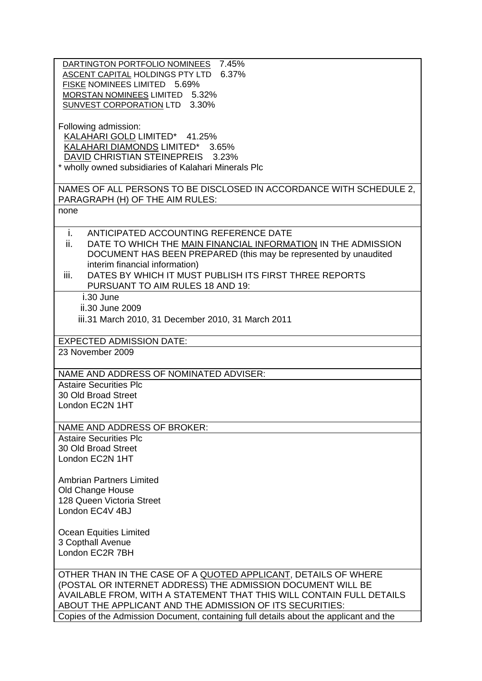| DARTINGTON PORTFOLIO NOMINEES 7.45%<br>ASCENT CAPITAL HOLDINGS PTY LTD 6.37%<br>FISKE NOMINEES LIMITED 5.69%<br>MORSTAN NOMINEES LIMITED 5.32%<br>SUNVEST CORPORATION LTD 3.30%<br>Following admission:                                                                                                                                                    |  |  |  |
|------------------------------------------------------------------------------------------------------------------------------------------------------------------------------------------------------------------------------------------------------------------------------------------------------------------------------------------------------------|--|--|--|
| KALAHARI GOLD LIMITED* 41.25%<br>KALAHARI DIAMONDS LIMITED* 3.65%<br>DAVID CHRISTIAN STEINEPREIS 3.23%<br>* wholly owned subsidiaries of Kalahari Minerals Plc                                                                                                                                                                                             |  |  |  |
| NAMES OF ALL PERSONS TO BE DISCLOSED IN ACCORDANCE WITH SCHEDULE 2,<br>PARAGRAPH (H) OF THE AIM RULES:                                                                                                                                                                                                                                                     |  |  |  |
| none                                                                                                                                                                                                                                                                                                                                                       |  |  |  |
| i.<br>ANTICIPATED ACCOUNTING REFERENCE DATE<br>ii.<br>DATE TO WHICH THE MAIN FINANCIAL INFORMATION IN THE ADMISSION<br>DOCUMENT HAS BEEN PREPARED (this may be represented by unaudited<br>interim financial information)<br>iii.<br>DATES BY WHICH IT MUST PUBLISH ITS FIRST THREE REPORTS                                                                |  |  |  |
| PURSUANT TO AIM RULES 18 AND 19:<br>i.30 June<br>ii.30 June 2009<br>iii.31 March 2010, 31 December 2010, 31 March 2011                                                                                                                                                                                                                                     |  |  |  |
| <b>EXPECTED ADMISSION DATE:</b><br>23 November 2009                                                                                                                                                                                                                                                                                                        |  |  |  |
|                                                                                                                                                                                                                                                                                                                                                            |  |  |  |
| NAME AND ADDRESS OF NOMINATED ADVISER:<br><b>Astaire Securities Plc</b>                                                                                                                                                                                                                                                                                    |  |  |  |
| 30 Old Broad Street<br>London EC2N 1HT                                                                                                                                                                                                                                                                                                                     |  |  |  |
| NAME AND ADDRESS OF BROKER:                                                                                                                                                                                                                                                                                                                                |  |  |  |
| <b>Astaire Securities Plc</b><br>30 Old Broad Street<br>London EC2N 1HT                                                                                                                                                                                                                                                                                    |  |  |  |
| <b>Ambrian Partners Limited</b><br>Old Change House<br>128 Queen Victoria Street<br>London EC4V 4BJ                                                                                                                                                                                                                                                        |  |  |  |
| Ocean Equities Limited<br>3 Copthall Avenue<br>London EC2R 7BH                                                                                                                                                                                                                                                                                             |  |  |  |
| OTHER THAN IN THE CASE OF A QUOTED APPLICANT, DETAILS OF WHERE<br>(POSTAL OR INTERNET ADDRESS) THE ADMISSION DOCUMENT WILL BE<br>AVAILABLE FROM, WITH A STATEMENT THAT THIS WILL CONTAIN FULL DETAILS<br>ABOUT THE APPLICANT AND THE ADMISSION OF ITS SECURITIES:<br>Copies of the Admission Document, containing full details about the applicant and the |  |  |  |